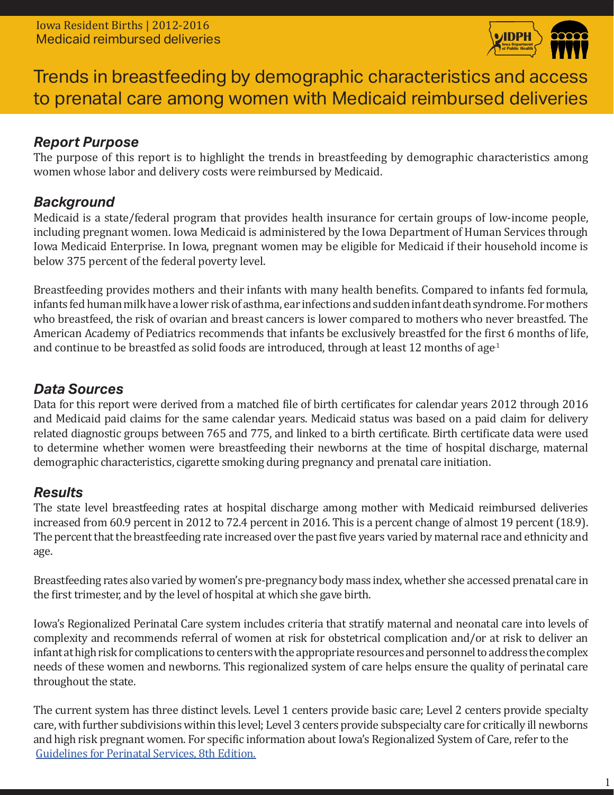

# Trends in breastfeeding by demographic characteristics and access to prenatal care among women with Medicaid reimbursed deliveries

# *Report Purpose*

The purpose of this report is to highlight the trends in breastfeeding by demographic characteristics among women whose labor and delivery costs were reimbursed by Medicaid.

## *Background*

Medicaid is a state/federal program that provides health insurance for certain groups of low-income people, including pregnant women. Iowa Medicaid is administered by the Iowa Department of Human Services through Iowa Medicaid Enterprise. In Iowa, pregnant women may be eligible for Medicaid if their household income is below 375 percent of the federal poverty level.

Breastfeeding provides mothers and their infants with many health benefits. Compared to infants fed formula, infants fed human milk have a lower risk of asthma, ear infections and sudden infant death syndrome. For mothers who breastfeed, the risk of ovarian and breast cancers is lower compared to mothers who never breastfed. The American Academy of Pediatrics recommends that infants be exclusively breastfed for the first 6 months of life, and continue to be breastfed as solid foods are introduced, through at least 12 months of age<sup>1</sup>

## *Data Sources*

Data for this report were derived from a matched file of birth certificates for calendar years 2012 through 2016 and Medicaid paid claims for the same calendar years. Medicaid status was based on a paid claim for delivery related diagnostic groups between 765 and 775, and linked to a birth certificate. Birth certificate data were used to determine whether women were breastfeeding their newborns at the time of hospital discharge, maternal demographic characteristics, cigarette smoking during pregnancy and prenatal care initiation.

# *Results*

The state level breastfeeding rates at hospital discharge among mother with Medicaid reimbursed deliveries increased from 60.9 percent in 2012 to 72.4 percent in 2016. This is a percent change of almost 19 percent (18.9). The percent that the breastfeeding rate increased over the past five years varied by maternal race and ethnicity and age.

Breastfeeding rates also varied by women's pre-pregnancy body mass index, whether she accessed prenatal care in the first trimester, and by the level of hospital at which she gave birth.

Iowa's Regionalized Perinatal Care system includes criteria that stratify maternal and neonatal care into levels of complexity and recommends referral of women at risk for obstetrical complication and/or at risk to deliver an infant at high risk for complications to centers with the appropriate resources and personnel to address the complex needs of these women and newborns. This regionalized system of care helps ensure the quality of perinatal care throughout the state.

The current system has three distinct levels. Level 1 centers provide basic care; Level 2 centers provide specialty care, with further subdivisions within this level; Level 3 centers provide subspecialty care for critically ill newborns and high risk pregnant women. For specific information about Iowa's Regionalized System of Care, refer to the [Guidelines for Perinatal Services, 8th Edition.](http://idph.iowa.gov/Portals/1/Files/PerinatalCare/8th_edition_guidelines.pdf)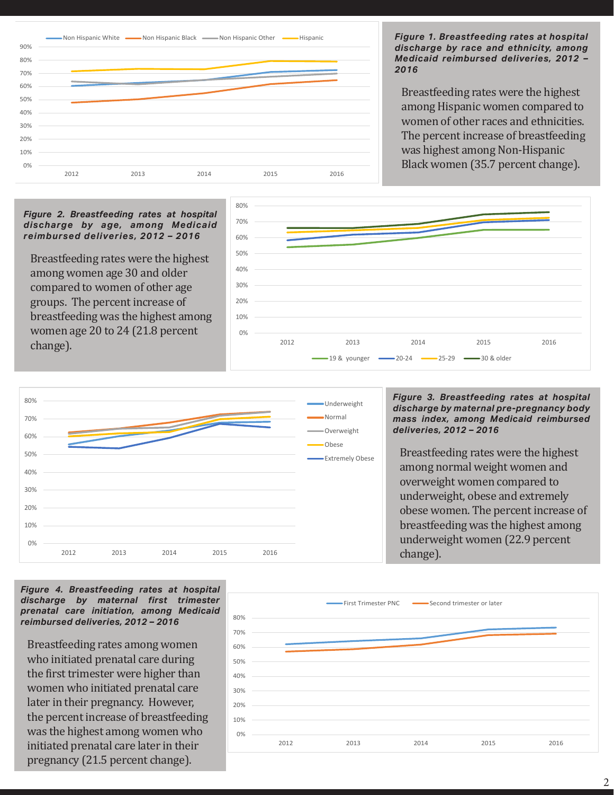

#### *Figure 1. Breastfeeding rates at hospital discharge by race and ethnicity, among Medicaid reimbursed deliveries, 2012 – 2016*

Breastfeeding rates were the highest among Hispanic women compared to women of other races and ethnicities. The percent increase of breastfeeding was highest among Non-Hispanic Black women (35.7 percent change).

#### *Figure 2. Breastfeeding rates at hospital discharge by age, among Medicaid reimbursed deliveries, 2012 – 2016*

Breastfeeding rates were the highest among women age 30 and older compared to women of other age groups. The percent increase of breastfeeding was the highest among women age 20 to 24 (21.8 percent change).





#### *Figure 3. Breastfeeding rates at hospital discharge by maternal pre-pregnancy body mass index, among Medicaid reimbursed deliveries, 2012 – 2016*

Breastfeeding rates were the highest among normal weight women and overweight women compared to underweight, obese and extremely obese women. The percent increase of breastfeeding was the highest among underweight women (22.9 percent change).

*Figure 4. Breastfeeding rates at hospital discharge by maternal first trimester prenatal care initiation, among Medicaid reimbursed deliveries, 2012 – 2016* 

Breastfeeding rates among women who initiated prenatal care during the first trimester were higher than women who initiated prenatal care later in their pregnancy. However, the percent increase of breastfeeding was the highest among women who initiated prenatal care later in their pregnancy (21.5 percent change).